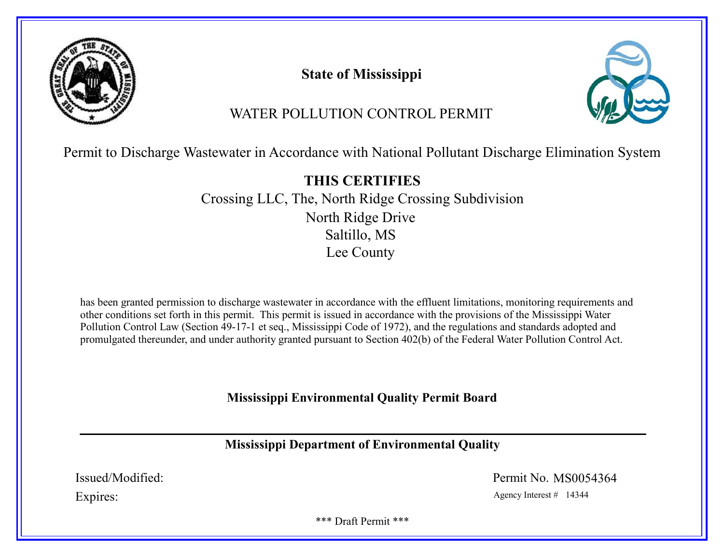

State of Mississippi



# WATER POLLUTION CONTROL PERMIT

Permit to Discharge Wastewater in Accordance with National Pollutant Discharge Elimination System

THIS CERTIFIES Crossing LLC, The, North Ridge Crossing Subdivision North Ridge Drive Saltillo, MS Lee County

has been granted permission to discharge wastewater in accordance with the effluent limitations, monitoring requirements and other conditions set forth in this permit. This permit is issued in accordance with the provisions of the Mississippi Water Pollution Control Law (Section 49-17-1 et seq., Mississippi Code of 1972), and the regulations and standards adopted and promulgated thereunder, and under authority granted pursuant to Section 402(b) of the Federal Water Pollution Control Act.

Mississippi Environmental Quality Permit Board

Mississippi Department of Environmental Quality

Issued/Modified: Permit No. MS0054364

Expires: Agency Interest # 14344

\*\*\* Draft Permit \*\*\*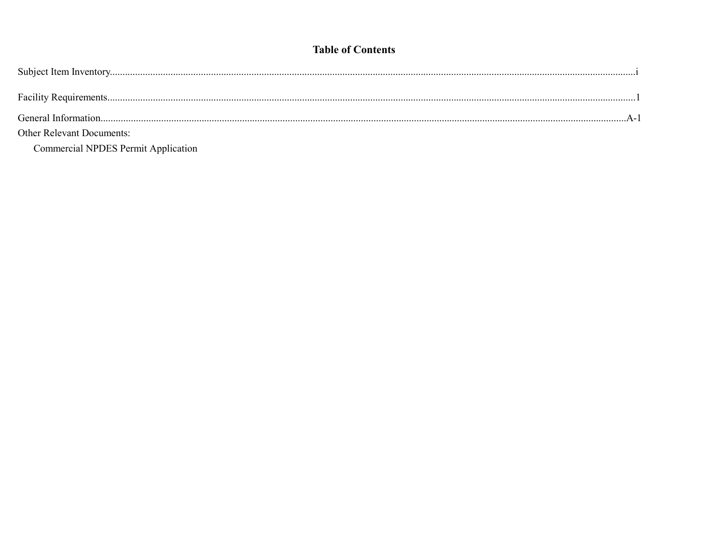# **Table of Contents**

| <b>Other Relevant Documents:</b>           |  |
|--------------------------------------------|--|
| <b>Commercial NPDES Permit Application</b> |  |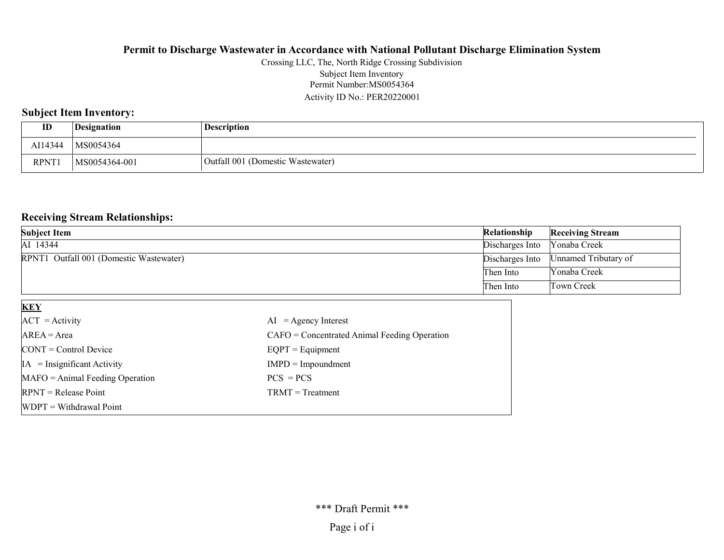#### Permit Number:MS0054364 Activity ID No.: PER20220001 Crossing LLC, The, North Ridge Crossing Subdivision Subject Item Inventory

### Subject Item Inventory:

| ID          | Designation   | <b>Description</b>                |
|-------------|---------------|-----------------------------------|
| AI14344     | MS0054364     |                                   |
| <b>RPNT</b> | MS0054364-001 | Outfall 001 (Domestic Wastewater) |

### Receiving Stream Relationships:

| <b>Subject Item</b>                     | Relationship    | <b>Receiving Stream</b> |
|-----------------------------------------|-----------------|-------------------------|
| AI 14344                                | Discharges Into | Yonaba Creek            |
| RPNT1 Outfall 001 (Domestic Wastewater) | Discharges Into | Unnamed Tributary of    |
|                                         | Then Into       | Yonaba Creek            |
|                                         | Then Into       | Town Creek              |

| <b>KEY</b>                            |                                                |
|---------------------------------------|------------------------------------------------|
| $ACT = Activity$                      | $AI = Agency Interest$                         |
| $AREA = Area$                         | $CAFO =$ Concentrated Animal Feeding Operation |
| $\text{CONT} = \text{Control Device}$ | $EQPT = Equipment$                             |
| $IA = Insignificant Activity$         | $IMPD = Impoundment$                           |
| $MAFO = Animal Feeding Operation$     | $PCS = PCS$                                    |
| $RPNT = Release Point$                | $TRMT = Treatment$                             |
| $WDPT = Without$                      |                                                |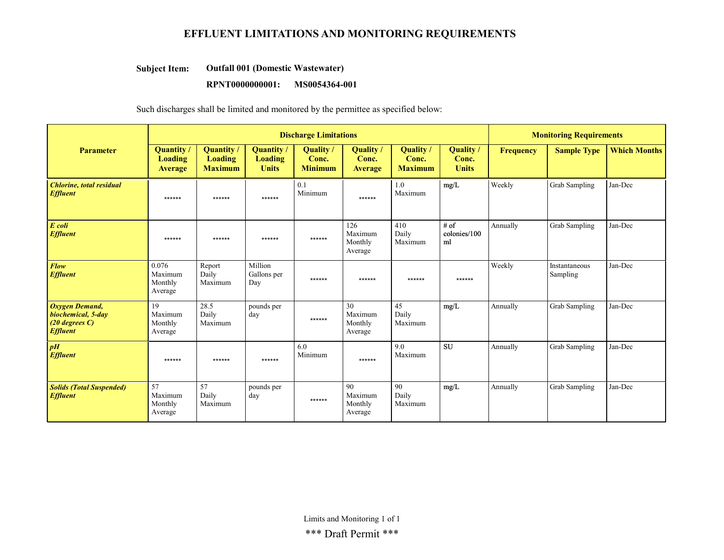### EFFLUENT LIMITATIONS AND MONITORING REQUIREMENTS

#### Outfall 001 (Domestic Wastewater) Subject Item:

#### RPNT0000000001: MS0054364-001

Such discharges shall be limited and monitored by the permittee as specified below:

|                                                                                     | <b>Discharge Limitations</b>            |                                        |                                      |                                    |                                      |                                             | <b>Monitoring Requirements</b>            |                  |                           |                     |
|-------------------------------------------------------------------------------------|-----------------------------------------|----------------------------------------|--------------------------------------|------------------------------------|--------------------------------------|---------------------------------------------|-------------------------------------------|------------------|---------------------------|---------------------|
| <b>Parameter</b>                                                                    | Quantity /<br>Loading<br><b>Average</b> | Quantity/<br>Loading<br><b>Maximum</b> | Quantity/<br>Loading<br><b>Units</b> | Quality<br>Conc.<br><b>Minimum</b> | Quality /<br>Conc.<br><b>Average</b> | <b>Quality</b> /<br>Conc.<br><b>Maximum</b> | <b>Quality</b> /<br>Conc.<br><b>Units</b> | <b>Frequency</b> | <b>Sample Type</b>        | <b>Which Months</b> |
| <b>Chlorine</b> , total residual<br><b>Effluent</b>                                 | ******                                  | ******                                 | ******                               | 0.1<br>Minimum                     | ******                               | 1.0<br>Maximum                              | mg/L                                      | Weekly           | <b>Grab Sampling</b>      | Jan-Dec             |
| E coli<br><b>Effluent</b>                                                           | ******                                  | ******                                 | ******                               | ******                             | 126<br>Maximum<br>Monthly<br>Average | 410<br>Daily<br>Maximum                     | # of<br>colonies/100<br>ml                | Annually         | <b>Grab Sampling</b>      | Jan-Dec             |
| Flow<br><b>Effluent</b>                                                             | 0.076<br>Maximum<br>Monthly<br>Average  | Report<br>Daily<br>Maximum             | Million<br>Gallons per<br>Day        | ******                             | ******                               | ******                                      | ******                                    | Weekly           | Instantaneous<br>Sampling | Jan-Dec             |
| <b>Oxygen Demand,</b><br>biochemical, 5-day<br>$(20$ degrees $C$<br><b>Effluent</b> | 19<br>Maximum<br>Monthly<br>Average     | 28.5<br>Daily<br>Maximum               | pounds per<br>day                    | ******                             | 30<br>Maximum<br>Monthly<br>Average  | 45<br>Daily<br>Maximum                      | mg/L                                      | Annually         | Grab Sampling             | Jan-Dec             |
| pH<br><b>Effluent</b>                                                               | ******                                  | ******                                 | ******                               | 6.0<br>Minimum                     | ******                               | 9.0<br>Maximum                              | <b>SU</b>                                 | Annually         | <b>Grab Sampling</b>      | Jan-Dec             |
| <b>Solids (Total Suspended)</b><br><b>Effluent</b>                                  | 57<br>Maximum<br>Monthly<br>Average     | 57<br>Daily<br>Maximum                 | pounds per<br>day                    | ******                             | 90<br>Maximum<br>Monthly<br>Average  | 90<br>Daily<br>Maximum                      | mg/L                                      | Annually         | Grab Sampling             | Jan-Dec             |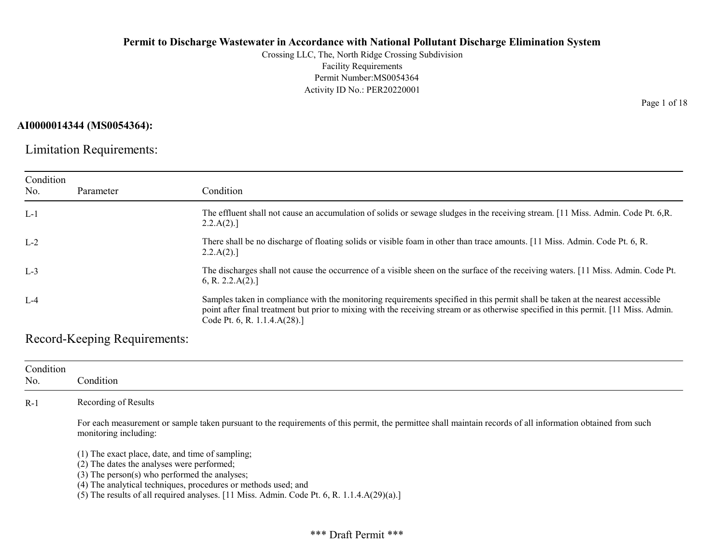Crossing LLC, The, North Ridge Crossing Subdivision Facility Requirements Permit Number:MS0054364 Activity ID No.: PER20220001

#### AI0000014344 (MS0054364):

Limitation Requirements:

| Condition<br>No. | Parameter | Condition                                                                                                                                                                                                                                                                                              |
|------------------|-----------|--------------------------------------------------------------------------------------------------------------------------------------------------------------------------------------------------------------------------------------------------------------------------------------------------------|
| $L-1$            |           | The effluent shall not cause an accumulation of solids or sewage sludges in the receiving stream. [11 Miss. Admin. Code Pt. 6,R.<br>$2.2.A(2).$ ]                                                                                                                                                      |
| $L-2$            |           | There shall be no discharge of floating solids or visible foam in other than trace amounts. [11 Miss. Admin. Code Pt. 6, R.<br>2.2.A(2).                                                                                                                                                               |
| $L-3$            |           | The discharges shall not cause the occurrence of a visible sheen on the surface of the receiving waters. [11 Miss. Admin. Code Pt.<br>6, R. 2.2.A(2).                                                                                                                                                  |
| $L-4$            |           | Samples taken in compliance with the monitoring requirements specified in this permit shall be taken at the nearest accessible<br>point after final treatment but prior to mixing with the receiving stream or as otherwise specified in this permit. [11 Miss. Admin.<br>Code Pt. 6, R. 1.1.4.A(28).] |

Record-Keeping Requirements:

| Condition<br>No. | Condition                                                                                                                                                                                                                                                                                                                                                   |
|------------------|-------------------------------------------------------------------------------------------------------------------------------------------------------------------------------------------------------------------------------------------------------------------------------------------------------------------------------------------------------------|
| $R-1$            | Recording of Results                                                                                                                                                                                                                                                                                                                                        |
|                  | For each measurement or sample taken pursuant to the requirements of this permit, the permittee shall maintain records of all information obtained from such<br>monitoring including:                                                                                                                                                                       |
|                  | $(1)$ The exact place, date, and time of sampling;<br>(2) The dates the analyses were performed;<br>(3) The person(s) who performed the analyses;<br>(4) The analytical techniques, procedures or methods used; and<br>(5) The results of all required analyses. $[11 \text{ Miss. } \text{Admin. } \text{Code Pt. } 6, \text{R. } 1.1.4 \text{A}(29)(a).]$ |

Page 1 of 18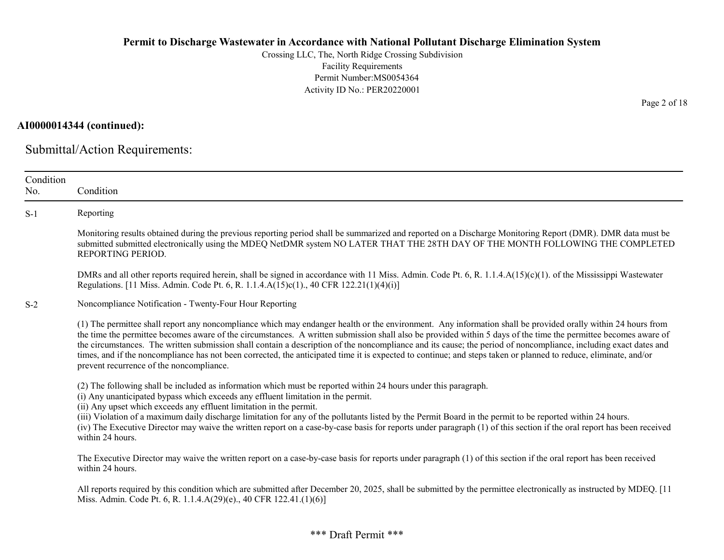Crossing LLC, The, North Ridge Crossing Subdivision Facility Requirements Permit Number:MS0054364 Activity ID No.: PER20220001

AI0000014344 (continued):

Submittal/Action Requirements:

| Condition<br>No. | Condition                                                                                                                                                                                                                                                                                                                                                                                                                                                                                                                                                                                                                                                                                                           |
|------------------|---------------------------------------------------------------------------------------------------------------------------------------------------------------------------------------------------------------------------------------------------------------------------------------------------------------------------------------------------------------------------------------------------------------------------------------------------------------------------------------------------------------------------------------------------------------------------------------------------------------------------------------------------------------------------------------------------------------------|
| $S-1$            | Reporting                                                                                                                                                                                                                                                                                                                                                                                                                                                                                                                                                                                                                                                                                                           |
|                  | Monitoring results obtained during the previous reporting period shall be summarized and reported on a Discharge Monitoring Report (DMR). DMR data must be<br>submitted submitted electronically using the MDEQ NetDMR system NO LATER THAT THE 28TH DAY OF THE MONTH FOLLOWING THE COMPLETED<br>REPORTING PERIOD.                                                                                                                                                                                                                                                                                                                                                                                                  |
|                  | DMRs and all other reports required herein, shall be signed in accordance with 11 Miss. Admin. Code Pt. 6, R. 1.1.4.A(15)(c)(1). of the Mississippi Wastewater<br>Regulations. [11 Miss. Admin. Code Pt. 6, R. 1.1.4.A(15)c(1)., 40 CFR 122.21(1)(4)(i)]                                                                                                                                                                                                                                                                                                                                                                                                                                                            |
| $S-2$            | Noncompliance Notification - Twenty-Four Hour Reporting                                                                                                                                                                                                                                                                                                                                                                                                                                                                                                                                                                                                                                                             |
|                  | (1) The permittee shall report any noncompliance which may endanger health or the environment. Any information shall be provided orally within 24 hours from<br>the time the permittee becomes aware of the circumstances. A written submission shall also be provided within 5 days of the time the permittee becomes aware of<br>the circumstances. The written submission shall contain a description of the noncompliance and its cause; the period of noncompliance, including exact dates and<br>times, and if the noncompliance has not been corrected, the anticipated time it is expected to continue; and steps taken or planned to reduce, eliminate, and/or<br>prevent recurrence of the noncompliance. |
|                  | (2) The following shall be included as information which must be reported within 24 hours under this paragraph.<br>(i) Any unanticipated bypass which exceeds any effluent limitation in the permit.<br>(ii) Any upset which exceeds any effluent limitation in the permit.<br>(iii) Violation of a maximum daily discharge limitation for any of the pollutants listed by the Permit Board in the permit to be reported within 24 hours.                                                                                                                                                                                                                                                                           |
|                  | (iv) The Executive Director may waive the written report on a case-by-case basis for reports under paragraph (1) of this section if the oral report has been received<br>within 24 hours.                                                                                                                                                                                                                                                                                                                                                                                                                                                                                                                           |
|                  | The Executive Director may waive the written report on a case-by-case basis for reports under paragraph (1) of this section if the oral report has been received<br>within 24 hours.                                                                                                                                                                                                                                                                                                                                                                                                                                                                                                                                |
|                  | All reports required by this condition which are submitted after December 20, 2025, shall be submitted by the permittee electronically as instructed by MDEQ. [11<br>Miss. Admin. Code Pt. 6, R. 1.1.4.A(29)(e)., 40 CFR 122.41.(1)(6)]                                                                                                                                                                                                                                                                                                                                                                                                                                                                             |

Page 2 of 18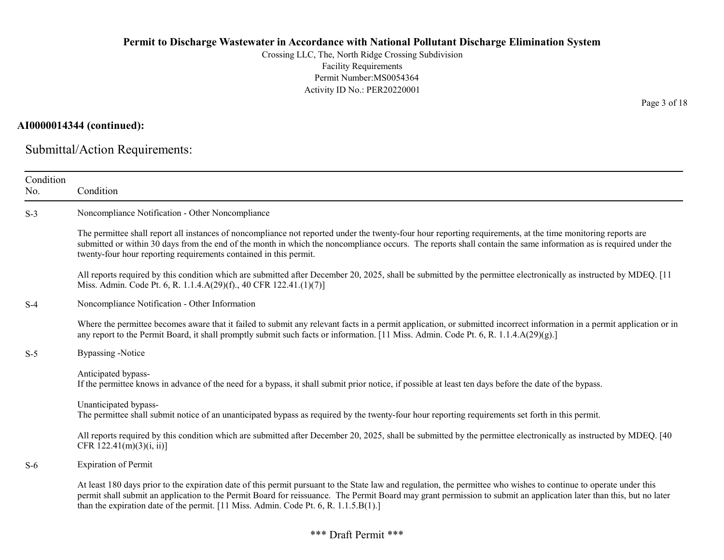Crossing LLC, The, North Ridge Crossing Subdivision Facility Requirements Permit Number:MS0054364 Activity ID No.: PER20220001

## AI0000014344 (continued):

Submittal/Action Requirements:

| Condition<br>No. | Condition                                                                                                                                                                                                                                                                                                                                                                                                                         |
|------------------|-----------------------------------------------------------------------------------------------------------------------------------------------------------------------------------------------------------------------------------------------------------------------------------------------------------------------------------------------------------------------------------------------------------------------------------|
| $S-3$            | Noncompliance Notification - Other Noncompliance                                                                                                                                                                                                                                                                                                                                                                                  |
|                  | The permittee shall report all instances of noncompliance not reported under the twenty-four hour reporting requirements, at the time monitoring reports are<br>submitted or within 30 days from the end of the month in which the noncompliance occurs. The reports shall contain the same information as is required under the<br>twenty-four hour reporting requirements contained in this permit.                             |
|                  | All reports required by this condition which are submitted after December 20, 2025, shall be submitted by the permittee electronically as instructed by MDEQ. [11]<br>Miss. Admin. Code Pt. 6, R. 1.1.4.A(29)(f)., 40 CFR 122.41.(1)(7)]                                                                                                                                                                                          |
| $S-4$            | Noncompliance Notification - Other Information                                                                                                                                                                                                                                                                                                                                                                                    |
|                  | Where the permittee becomes aware that it failed to submit any relevant facts in a permit application, or submitted incorrect information in a permit application or in<br>any report to the Permit Board, it shall promptly submit such facts or information. [11 Miss. Admin. Code Pt. 6, R. 1.1.4.A(29)(g).]                                                                                                                   |
| $S-5$            | <b>Bypassing</b> -Notice                                                                                                                                                                                                                                                                                                                                                                                                          |
|                  | Anticipated bypass-<br>If the permittee knows in advance of the need for a bypass, it shall submit prior notice, if possible at least ten days before the date of the bypass.                                                                                                                                                                                                                                                     |
|                  | Unanticipated bypass-<br>The permittee shall submit notice of an unanticipated bypass as required by the twenty-four hour reporting requirements set forth in this permit.                                                                                                                                                                                                                                                        |
|                  | All reports required by this condition which are submitted after December 20, 2025, shall be submitted by the permittee electronically as instructed by MDEQ. [40]<br>CFR $122.41(m)(3)(i, ii)$ ]                                                                                                                                                                                                                                 |
| $S-6$            | <b>Expiration of Permit</b>                                                                                                                                                                                                                                                                                                                                                                                                       |
|                  | At least 180 days prior to the expiration date of this permit pursuant to the State law and regulation, the permittee who wishes to continue to operate under this<br>permit shall submit an application to the Permit Board for reissuance. The Permit Board may grant permission to submit an application later than this, but no later<br>than the expiration date of the permit. [11 Miss. Admin. Code Pt. 6, R. 1.1.5.B(1).] |

Page 3 of 18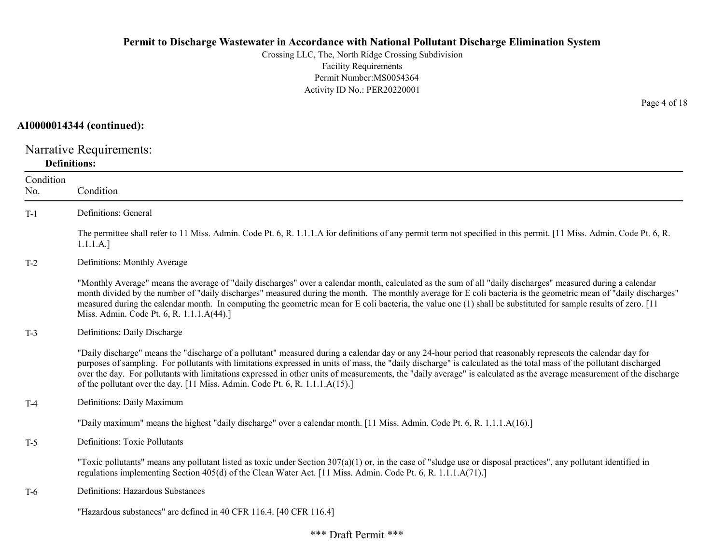Crossing LLC, The, North Ridge Crossing Subdivision Facility Requirements Permit Number:MS0054364 Activity ID No.: PER20220001

#### AI0000014344 (continued):

Narrative Requirements: Definitions:

| Condition<br>No. | Condition                                                                                                                                                                                                                                                                                                                                                                                                                                                                                                                                                                                   |
|------------------|---------------------------------------------------------------------------------------------------------------------------------------------------------------------------------------------------------------------------------------------------------------------------------------------------------------------------------------------------------------------------------------------------------------------------------------------------------------------------------------------------------------------------------------------------------------------------------------------|
| $T-1$            | Definitions: General                                                                                                                                                                                                                                                                                                                                                                                                                                                                                                                                                                        |
|                  | The permittee shall refer to 11 Miss. Admin. Code Pt. 6, R. 1.1.1.A for definitions of any permit term not specified in this permit. [11 Miss. Admin. Code Pt. 6, R.<br>1.1.1.A.]                                                                                                                                                                                                                                                                                                                                                                                                           |
| $T-2$            | Definitions: Monthly Average                                                                                                                                                                                                                                                                                                                                                                                                                                                                                                                                                                |
|                  | "Monthly Average" means the average of "daily discharges" over a calendar month, calculated as the sum of all "daily discharges" measured during a calendar<br>month divided by the number of "daily discharges" measured during the month. The monthly average for E coli bacteria is the geometric mean of "daily discharges"<br>measured during the calendar month. In computing the geometric mean for E coli bacteria, the value one (1) shall be substituted for sample results of zero. [11]<br>Miss. Admin. Code Pt. 6, R. 1.1.1.A(44).]                                            |
| $T-3$            | Definitions: Daily Discharge                                                                                                                                                                                                                                                                                                                                                                                                                                                                                                                                                                |
|                  | "Daily discharge" means the "discharge of a pollutant" measured during a calendar day or any 24-hour period that reasonably represents the calendar day for<br>purposes of sampling. For pollutants with limitations expressed in units of mass, the "daily discharge" is calculated as the total mass of the pollutant discharged<br>over the day. For pollutants with limitations expressed in other units of measurements, the "daily average" is calculated as the average measurement of the discharge<br>of the pollutant over the day. [11 Miss. Admin. Code Pt. 6, R. 1.1.1.A(15).] |
| $T-4$            | Definitions: Daily Maximum                                                                                                                                                                                                                                                                                                                                                                                                                                                                                                                                                                  |
|                  | "Daily maximum" means the highest "daily discharge" over a calendar month. [11 Miss. Admin. Code Pt. 6, R. 1.1.1.A(16).]                                                                                                                                                                                                                                                                                                                                                                                                                                                                    |
| $T-5$            | <b>Definitions: Toxic Pollutants</b>                                                                                                                                                                                                                                                                                                                                                                                                                                                                                                                                                        |
|                  | "Toxic pollutants" means any pollutant listed as toxic under Section $307(a)(1)$ or, in the case of "sludge use or disposal practices", any pollutant identified in<br>regulations implementing Section 405(d) of the Clean Water Act. [11 Miss. Admin. Code Pt. 6, R. 1.1.1.A(71).]                                                                                                                                                                                                                                                                                                        |
| T-6              | Definitions: Hazardous Substances                                                                                                                                                                                                                                                                                                                                                                                                                                                                                                                                                           |
|                  | "Hazardous substances" are defined in 40 CFR 116.4. [40 CFR 116.4]                                                                                                                                                                                                                                                                                                                                                                                                                                                                                                                          |

Page 4 of 18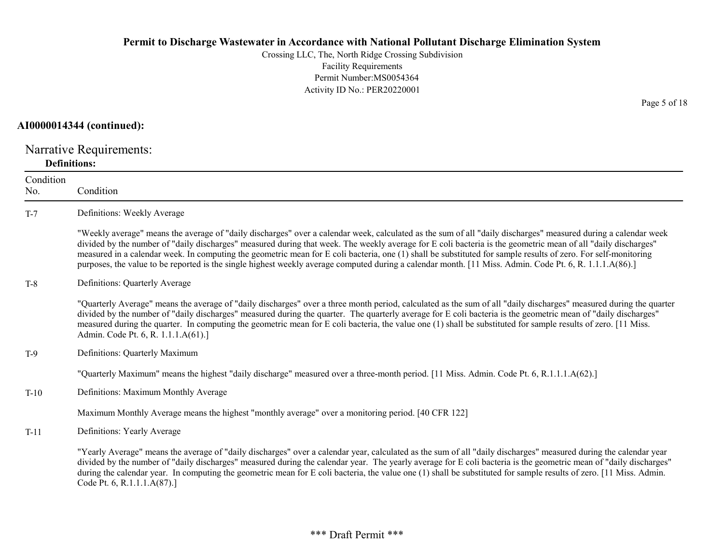Crossing LLC, The, North Ridge Crossing Subdivision Facility Requirements Permit Number:MS0054364 Activity ID No.: PER20220001

#### AI0000014344 (continued):

Narrative Requirements: Definitions:

| Condition<br>No. | Condition                                                                                                                                                                                                                                                                                                                                                                                                                                                                                                                                                                                                                                                    |
|------------------|--------------------------------------------------------------------------------------------------------------------------------------------------------------------------------------------------------------------------------------------------------------------------------------------------------------------------------------------------------------------------------------------------------------------------------------------------------------------------------------------------------------------------------------------------------------------------------------------------------------------------------------------------------------|
| $T-7$            | Definitions: Weekly Average                                                                                                                                                                                                                                                                                                                                                                                                                                                                                                                                                                                                                                  |
|                  | "Weekly average" means the average of "daily discharges" over a calendar week, calculated as the sum of all "daily discharges" measured during a calendar week<br>divided by the number of "daily discharges" measured during that week. The weekly average for E coli bacteria is the geometric mean of all "daily discharges"<br>measured in a calendar week. In computing the geometric mean for E coli bacteria, one (1) shall be substituted for sample results of zero. For self-monitoring<br>purposes, the value to be reported is the single highest weekly average computed during a calendar month. [11 Miss. Admin. Code Pt. 6, R. 1.1.1.A(86).] |
| $T-8$            | Definitions: Quarterly Average                                                                                                                                                                                                                                                                                                                                                                                                                                                                                                                                                                                                                               |
|                  | "Quarterly Average" means the average of "daily discharges" over a three month period, calculated as the sum of all "daily discharges" measured during the quarter<br>divided by the number of "daily discharges" measured during the quarter. The quarterly average for E coli bacteria is the geometric mean of "daily discharges"<br>measured during the quarter. In computing the geometric mean for E coli bacteria, the value one (1) shall be substituted for sample results of zero. [11 Miss.<br>Admin. Code Pt. 6, R. 1.1.1.A(61).]                                                                                                                |
| $T-9$            | Definitions: Quarterly Maximum                                                                                                                                                                                                                                                                                                                                                                                                                                                                                                                                                                                                                               |
|                  | "Quarterly Maximum" means the highest "daily discharge" measured over a three-month period. [11 Miss. Admin. Code Pt. 6, R.1.1.1.A(62).]                                                                                                                                                                                                                                                                                                                                                                                                                                                                                                                     |
| $T-10$           | Definitions: Maximum Monthly Average                                                                                                                                                                                                                                                                                                                                                                                                                                                                                                                                                                                                                         |
|                  | Maximum Monthly Average means the highest "monthly average" over a monitoring period. [40 CFR 122]                                                                                                                                                                                                                                                                                                                                                                                                                                                                                                                                                           |
| $T-11$           | Definitions: Yearly Average                                                                                                                                                                                                                                                                                                                                                                                                                                                                                                                                                                                                                                  |
|                  | "Yearly Average" means the average of "daily discharges" over a calendar year, calculated as the sum of all "daily discharges" measured during the calendar year<br>divided by the number of "daily discharges" measured during the calendar year. The yearly average for E coli bacteria is the geometric mean of "daily discharges"<br>during the calendar year. In computing the geometric mean for E coli bacteria, the value one (1) shall be substituted for sample results of zero. [11 Miss. Admin.<br>Code Pt. 6, R.1.1.1.A(87).]                                                                                                                   |

Page 5 of 18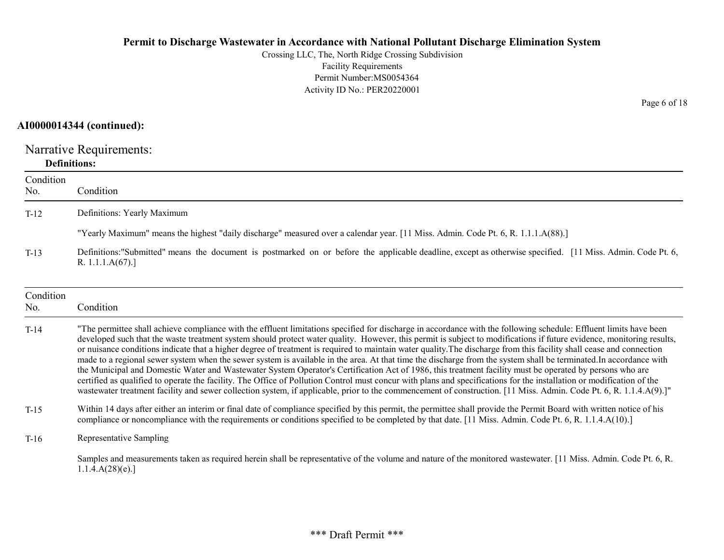Crossing LLC, The, North Ridge Crossing Subdivision Facility Requirements Permit Number:MS0054364 Activity ID No.: PER20220001

#### AI0000014344 (continued):

Narrative Requirements: Definitions:

| Condition<br>No. | Condition                                                                                                                                                                                                                                                                                                                                                                                                                                                                                                                                                                                                                                                                                                                                                                                                                                                                                                                                                                                                                                                                                                                                                                                            |
|------------------|------------------------------------------------------------------------------------------------------------------------------------------------------------------------------------------------------------------------------------------------------------------------------------------------------------------------------------------------------------------------------------------------------------------------------------------------------------------------------------------------------------------------------------------------------------------------------------------------------------------------------------------------------------------------------------------------------------------------------------------------------------------------------------------------------------------------------------------------------------------------------------------------------------------------------------------------------------------------------------------------------------------------------------------------------------------------------------------------------------------------------------------------------------------------------------------------------|
| $T-12$           | Definitions: Yearly Maximum                                                                                                                                                                                                                                                                                                                                                                                                                                                                                                                                                                                                                                                                                                                                                                                                                                                                                                                                                                                                                                                                                                                                                                          |
|                  | "Yearly Maximum" means the highest "daily discharge" measured over a calendar year. [11 Miss. Admin. Code Pt. 6, R. 1.1.1.A(88).]                                                                                                                                                                                                                                                                                                                                                                                                                                                                                                                                                                                                                                                                                                                                                                                                                                                                                                                                                                                                                                                                    |
| $T-13$           | Definitions: "Submitted" means the document is postmarked on or before the applicable deadline, except as otherwise specified. [11 Miss. Admin. Code Pt. 6,<br>R. 1.1.1. $A(67)$ .]                                                                                                                                                                                                                                                                                                                                                                                                                                                                                                                                                                                                                                                                                                                                                                                                                                                                                                                                                                                                                  |
| Condition<br>No. | Condition                                                                                                                                                                                                                                                                                                                                                                                                                                                                                                                                                                                                                                                                                                                                                                                                                                                                                                                                                                                                                                                                                                                                                                                            |
| $T-14$           | "The permittee shall achieve compliance with the effluent limitations specified for discharge in accordance with the following schedule: Effluent limits have been<br>developed such that the waste treatment system should protect water quality. However, this permit is subject to modifications if future evidence, monitoring results,<br>or nuisance conditions indicate that a higher degree of treatment is required to maintain water quality. The discharge from this facility shall cease and connection<br>made to a regional sewer system when the sewer system is available in the area. At that time the discharge from the system shall be terminated. In accordance with<br>the Municipal and Domestic Water and Wastewater System Operator's Certification Act of 1986, this treatment facility must be operated by persons who are<br>certified as qualified to operate the facility. The Office of Pollution Control must concur with plans and specifications for the installation or modification of the<br>wastewater treatment facility and sewer collection system, if applicable, prior to the commencement of construction. [11 Miss. Admin. Code Pt. 6, R. 1.1.4.A(9).]" |
| $T-15$           | Within 14 days after either an interim or final date of compliance specified by this permit, the permittee shall provide the Permit Board with written notice of his<br>compliance or noncompliance with the requirements or conditions specified to be completed by that date. [11 Miss. Admin. Code Pt. 6, R. 1.1.4.A(10).]                                                                                                                                                                                                                                                                                                                                                                                                                                                                                                                                                                                                                                                                                                                                                                                                                                                                        |
| $T-16$           | Representative Sampling                                                                                                                                                                                                                                                                                                                                                                                                                                                                                                                                                                                                                                                                                                                                                                                                                                                                                                                                                                                                                                                                                                                                                                              |
|                  | Samples and measurements taken as required herein shall be representative of the volume and nature of the monitored wastewater. [11 Miss. Admin. Code Pt. 6, R.<br>1.1.4.A(28)(e).                                                                                                                                                                                                                                                                                                                                                                                                                                                                                                                                                                                                                                                                                                                                                                                                                                                                                                                                                                                                                   |

Page 6 of 18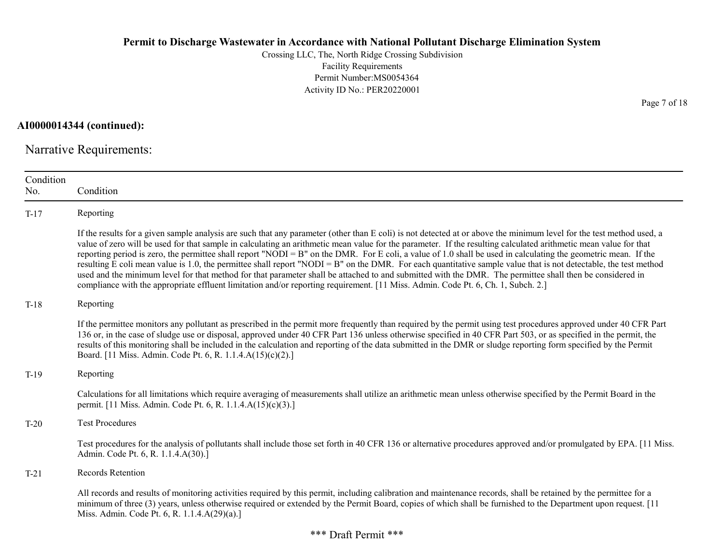Crossing LLC, The, North Ridge Crossing Subdivision Facility Requirements Permit Number:MS0054364 Activity ID No.: PER20220001

AI0000014344 (continued):

Narrative Requirements:

| Condition<br>No. | Condition                                                                                                                                                                                                                                                                                                                                                                                                                                                                                                                                                                                                                                                                                                                                                                                                                                                                                                                                                                      |
|------------------|--------------------------------------------------------------------------------------------------------------------------------------------------------------------------------------------------------------------------------------------------------------------------------------------------------------------------------------------------------------------------------------------------------------------------------------------------------------------------------------------------------------------------------------------------------------------------------------------------------------------------------------------------------------------------------------------------------------------------------------------------------------------------------------------------------------------------------------------------------------------------------------------------------------------------------------------------------------------------------|
| $T-17$           | Reporting                                                                                                                                                                                                                                                                                                                                                                                                                                                                                                                                                                                                                                                                                                                                                                                                                                                                                                                                                                      |
|                  | If the results for a given sample analysis are such that any parameter (other than E coli) is not detected at or above the minimum level for the test method used, a<br>value of zero will be used for that sample in calculating an arithmetic mean value for the parameter. If the resulting calculated arithmetic mean value for that<br>reporting period is zero, the permittee shall report "NODI = B" on the DMR. For E coli, a value of 1.0 shall be used in calculating the geometric mean. If the<br>resulting E coli mean value is 1.0, the permittee shall report "NODI = B" on the DMR. For each quantitative sample value that is not detectable, the test method<br>used and the minimum level for that method for that parameter shall be attached to and submitted with the DMR. The permittee shall then be considered in<br>compliance with the appropriate effluent limitation and/or reporting requirement. [11 Miss. Admin. Code Pt. 6, Ch. 1, Subch. 2.] |
| $T-18$           | Reporting                                                                                                                                                                                                                                                                                                                                                                                                                                                                                                                                                                                                                                                                                                                                                                                                                                                                                                                                                                      |
|                  | If the permittee monitors any pollutant as prescribed in the permit more frequently than required by the permit using test procedures approved under 40 CFR Part<br>136 or, in the case of sludge use or disposal, approved under 40 CFR Part 136 unless otherwise specified in 40 CFR Part 503, or as specified in the permit, the<br>results of this monitoring shall be included in the calculation and reporting of the data submitted in the DMR or sludge reporting form specified by the Permit<br>Board. [11 Miss. Admin. Code Pt. 6, R. 1.1.4.A(15)(c)(2).]                                                                                                                                                                                                                                                                                                                                                                                                           |
| $T-19$           | Reporting                                                                                                                                                                                                                                                                                                                                                                                                                                                                                                                                                                                                                                                                                                                                                                                                                                                                                                                                                                      |
|                  | Calculations for all limitations which require averaging of measurements shall utilize an arithmetic mean unless otherwise specified by the Permit Board in the<br>permit. [11 Miss. Admin. Code Pt. 6, R. 1.1.4.A(15)(c)(3).]                                                                                                                                                                                                                                                                                                                                                                                                                                                                                                                                                                                                                                                                                                                                                 |
| $T-20$           | <b>Test Procedures</b>                                                                                                                                                                                                                                                                                                                                                                                                                                                                                                                                                                                                                                                                                                                                                                                                                                                                                                                                                         |
|                  | Test procedures for the analysis of pollutants shall include those set forth in 40 CFR 136 or alternative procedures approved and/or promulgated by EPA. [11 Miss.]<br>Admin. Code Pt. 6, R. 1.1.4.A(30).]                                                                                                                                                                                                                                                                                                                                                                                                                                                                                                                                                                                                                                                                                                                                                                     |
| $T-21$           | Records Retention                                                                                                                                                                                                                                                                                                                                                                                                                                                                                                                                                                                                                                                                                                                                                                                                                                                                                                                                                              |
|                  | All records and results of monitoring activities required by this permit, including calibration and maintenance records, shall be retained by the permittee for a<br>minimum of three (3) years, unless otherwise required or extended by the Permit Board, copies of which shall be furnished to the Department upon request. [11]<br>Miss. Admin. Code Pt. 6, R. 1.1.4.A(29)(a).]                                                                                                                                                                                                                                                                                                                                                                                                                                                                                                                                                                                            |

Page 7 of 18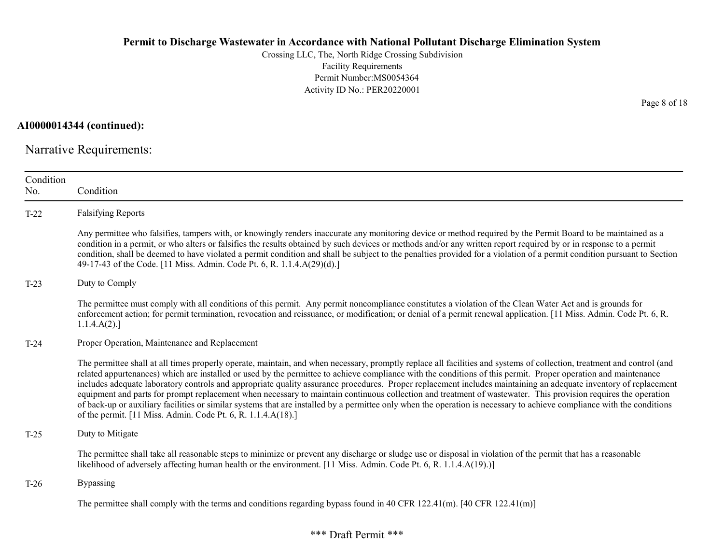Crossing LLC, The, North Ridge Crossing Subdivision Facility Requirements Permit Number:MS0054364 Activity ID No.: PER20220001

AI0000014344 (continued):

Narrative Requirements:

| Condition<br>No. | Condition                                                                                                                                                                                                                                                                                                                                                                                                                                                                                                                                                                                                                                                                                                                                                                                                                                                                                                                |
|------------------|--------------------------------------------------------------------------------------------------------------------------------------------------------------------------------------------------------------------------------------------------------------------------------------------------------------------------------------------------------------------------------------------------------------------------------------------------------------------------------------------------------------------------------------------------------------------------------------------------------------------------------------------------------------------------------------------------------------------------------------------------------------------------------------------------------------------------------------------------------------------------------------------------------------------------|
| $T-22$           | <b>Falsifying Reports</b>                                                                                                                                                                                                                                                                                                                                                                                                                                                                                                                                                                                                                                                                                                                                                                                                                                                                                                |
|                  | Any permittee who falsifies, tampers with, or knowingly renders inaccurate any monitoring device or method required by the Permit Board to be maintained as a<br>condition in a permit, or who alters or falsifies the results obtained by such devices or methods and/or any written report required by or in response to a permit<br>condition, shall be deemed to have violated a permit condition and shall be subject to the penalties provided for a violation of a permit condition pursuant to Section<br>49-17-43 of the Code. [11 Miss. Admin. Code Pt. 6, R. 1.1.4.A(29)(d).]                                                                                                                                                                                                                                                                                                                                 |
| $T-23$           | Duty to Comply                                                                                                                                                                                                                                                                                                                                                                                                                                                                                                                                                                                                                                                                                                                                                                                                                                                                                                           |
|                  | The permittee must comply with all conditions of this permit. Any permit noncompliance constitutes a violation of the Clean Water Act and is grounds for<br>enforcement action; for permit termination, revocation and reissuance, or modification; or denial of a permit renewal application. [11 Miss. Admin. Code Pt. 6, R.<br>1.1.4.A(2).                                                                                                                                                                                                                                                                                                                                                                                                                                                                                                                                                                            |
| $T-24$           | Proper Operation, Maintenance and Replacement                                                                                                                                                                                                                                                                                                                                                                                                                                                                                                                                                                                                                                                                                                                                                                                                                                                                            |
|                  | The permittee shall at all times properly operate, maintain, and when necessary, promptly replace all facilities and systems of collection, treatment and control (and<br>related appurtenances) which are installed or used by the permittee to achieve compliance with the conditions of this permit. Proper operation and maintenance<br>includes adequate laboratory controls and appropriate quality assurance procedures. Proper replacement includes maintaining an adequate inventory of replacement<br>equipment and parts for prompt replacement when necessary to maintain continuous collection and treatment of wastewater. This provision requires the operation<br>of back-up or auxiliary facilities or similar systems that are installed by a permittee only when the operation is necessary to achieve compliance with the conditions<br>of the permit. [11 Miss. Admin. Code Pt. 6, R. 1.1.4.A(18).] |
| $T-25$           | Duty to Mitigate                                                                                                                                                                                                                                                                                                                                                                                                                                                                                                                                                                                                                                                                                                                                                                                                                                                                                                         |
|                  | The permittee shall take all reasonable steps to minimize or prevent any discharge or sludge use or disposal in violation of the permit that has a reasonable<br>likelihood of adversely affecting human health or the environment. [11 Miss. Admin. Code Pt. 6, R. 1.1.4.A(19).)]                                                                                                                                                                                                                                                                                                                                                                                                                                                                                                                                                                                                                                       |
| $T-26$           | Bypassing                                                                                                                                                                                                                                                                                                                                                                                                                                                                                                                                                                                                                                                                                                                                                                                                                                                                                                                |
|                  | The permittee shall comply with the terms and conditions regarding bypass found in 40 CFR 122.41(m). [40 CFR 122.41(m)]                                                                                                                                                                                                                                                                                                                                                                                                                                                                                                                                                                                                                                                                                                                                                                                                  |

Page 8 of 18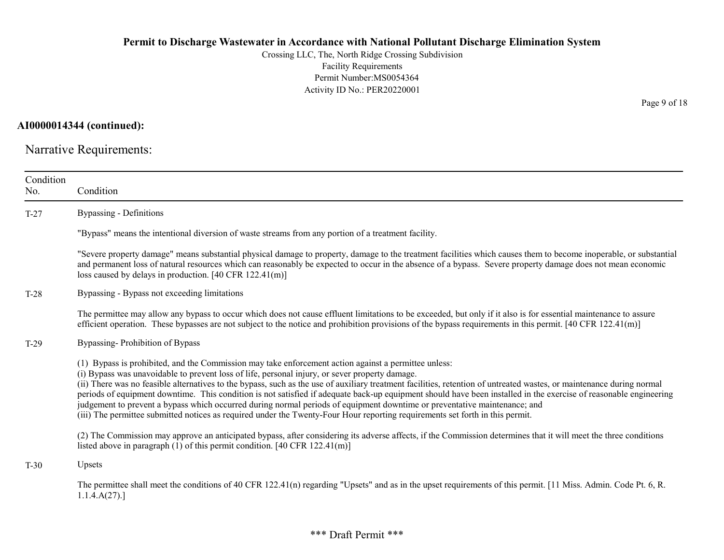Crossing LLC, The, North Ridge Crossing Subdivision Facility Requirements Permit Number:MS0054364 Activity ID No.: PER20220001

AI0000014344 (continued):

Narrative Requirements:

| Condition<br>No. | Condition                                                                                                                                                                                                                                                                                                                                                                                                                                                                                                                                                                                                                                                                                                                                                                                                          |
|------------------|--------------------------------------------------------------------------------------------------------------------------------------------------------------------------------------------------------------------------------------------------------------------------------------------------------------------------------------------------------------------------------------------------------------------------------------------------------------------------------------------------------------------------------------------------------------------------------------------------------------------------------------------------------------------------------------------------------------------------------------------------------------------------------------------------------------------|
| $T-27$           | <b>Bypassing - Definitions</b>                                                                                                                                                                                                                                                                                                                                                                                                                                                                                                                                                                                                                                                                                                                                                                                     |
|                  | "Bypass" means the intentional diversion of waste streams from any portion of a treatment facility.                                                                                                                                                                                                                                                                                                                                                                                                                                                                                                                                                                                                                                                                                                                |
|                  | "Severe property damage" means substantial physical damage to property, damage to the treatment facilities which causes them to become inoperable, or substantial<br>and permanent loss of natural resources which can reasonably be expected to occur in the absence of a bypass. Severe property damage does not mean economic<br>loss caused by delays in production. [40 CFR $122.41(m)$ ]                                                                                                                                                                                                                                                                                                                                                                                                                     |
| $T-28$           | Bypassing - Bypass not exceeding limitations                                                                                                                                                                                                                                                                                                                                                                                                                                                                                                                                                                                                                                                                                                                                                                       |
|                  | The permittee may allow any bypass to occur which does not cause effluent limitations to be exceeded, but only if it also is for essential maintenance to assure<br>efficient operation. These bypasses are not subject to the notice and prohibition provisions of the bypass requirements in this permit. $[40 \text{ CFR } 122.41 \text{ (m)}]$                                                                                                                                                                                                                                                                                                                                                                                                                                                                 |
| $T-29$           | Bypassing-Prohibition of Bypass                                                                                                                                                                                                                                                                                                                                                                                                                                                                                                                                                                                                                                                                                                                                                                                    |
|                  | (1) Bypass is prohibited, and the Commission may take enforcement action against a permittee unless:<br>(i) Bypass was unavoidable to prevent loss of life, personal injury, or sever property damage.<br>(ii) There was no feasible alternatives to the bypass, such as the use of auxiliary treatment facilities, retention of untreated wastes, or maintenance during normal<br>periods of equipment downtime. This condition is not satisfied if adequate back-up equipment should have been installed in the exercise of reasonable engineering<br>judgement to prevent a bypass which occurred during normal periods of equipment downtime or preventative maintenance; and<br>(iii) The permittee submitted notices as required under the Twenty-Four Hour reporting requirements set forth in this permit. |
|                  | (2) The Commission may approve an anticipated bypass, after considering its adverse affects, if the Commission determines that it will meet the three conditions<br>listed above in paragraph (1) of this permit condition. [40 CFR $122.41(m)$ ]                                                                                                                                                                                                                                                                                                                                                                                                                                                                                                                                                                  |
| $T-30$           | Upsets                                                                                                                                                                                                                                                                                                                                                                                                                                                                                                                                                                                                                                                                                                                                                                                                             |
|                  | The permittee shall meet the conditions of 40 CFR 122.41(n) regarding "Upsets" and as in the upset requirements of this permit. [11 Miss. Admin. Code Pt. 6, R.<br>1.1.4.A(27).                                                                                                                                                                                                                                                                                                                                                                                                                                                                                                                                                                                                                                    |

Page 9 of 18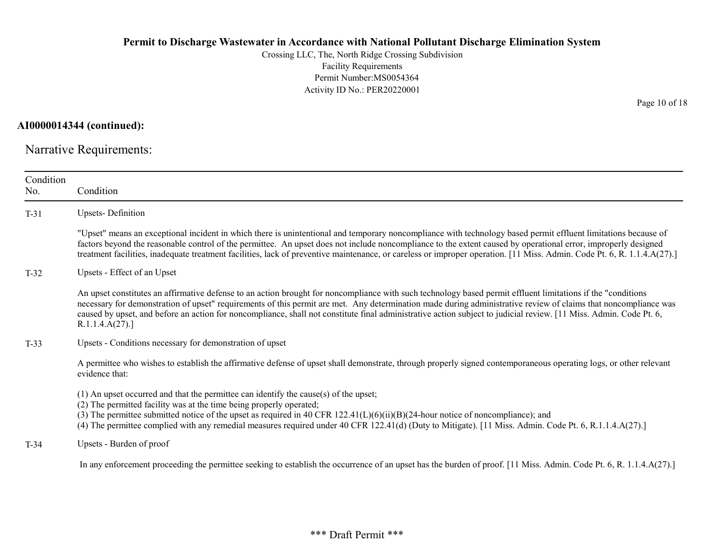Crossing LLC, The, North Ridge Crossing Subdivision Facility Requirements Permit Number:MS0054364 Activity ID No.: PER20220001

AI0000014344 (continued):

Narrative Requirements:

| Condition<br>No. | Condition                                                                                                                                                                                                                                                                                                                                                                                                                                                                                                                |
|------------------|--------------------------------------------------------------------------------------------------------------------------------------------------------------------------------------------------------------------------------------------------------------------------------------------------------------------------------------------------------------------------------------------------------------------------------------------------------------------------------------------------------------------------|
| $T-31$           | <b>Upsets-Definition</b>                                                                                                                                                                                                                                                                                                                                                                                                                                                                                                 |
|                  | "Upset" means an exceptional incident in which there is unintentional and temporary noncompliance with technology based permit effluent limitations because of<br>factors beyond the reasonable control of the permittee. An upset does not include noncompliance to the extent caused by operational error, improperly designed<br>treatment facilities, inadequate treatment facilities, lack of preventive maintenance, or careless or improper operation. [11 Miss. Admin. Code Pt. 6, R. 1.1.4.A(27).]              |
| $T-32$           | Upsets - Effect of an Upset                                                                                                                                                                                                                                                                                                                                                                                                                                                                                              |
|                  | An upset constitutes an affirmative defense to an action brought for noncompliance with such technology based permit effluent limitations if the "conditions"<br>necessary for demonstration of upset" requirements of this permit are met. Any determination made during administrative review of claims that noncompliance was<br>caused by upset, and before an action for noncompliance, shall not constitute final administrative action subject to judicial review. [11 Miss. Admin. Code Pt. 6,<br>R.1.1.4.A(27). |
| $T-33$           | Upsets - Conditions necessary for demonstration of upset                                                                                                                                                                                                                                                                                                                                                                                                                                                                 |
|                  | A permittee who wishes to establish the affirmative defense of upset shall demonstrate, through properly signed contemporaneous operating logs, or other relevant<br>evidence that:                                                                                                                                                                                                                                                                                                                                      |
|                  | $(1)$ An upset occurred and that the permittee can identify the cause(s) of the upset;<br>(2) The permitted facility was at the time being properly operated;<br>(3) The permittee submitted notice of the upset as required in 40 CFR $122.41(L)(6)(ii)(B)(24$ -hour notice of noncompliance); and<br>(4) The permittee complied with any remedial measures required under 40 CFR 122.41(d) (Duty to Mitigate). [11 Miss. Admin. Code Pt. 6, R.1.1.4.A(27).]                                                            |
| $T-34$           | Upsets - Burden of proof                                                                                                                                                                                                                                                                                                                                                                                                                                                                                                 |
|                  | In any enforcement proceeding the permittee seeking to establish the occurrence of an upset has the burden of proof. [11 Miss. Admin. Code Pt. 6, R. 1.1.4.A(27).]                                                                                                                                                                                                                                                                                                                                                       |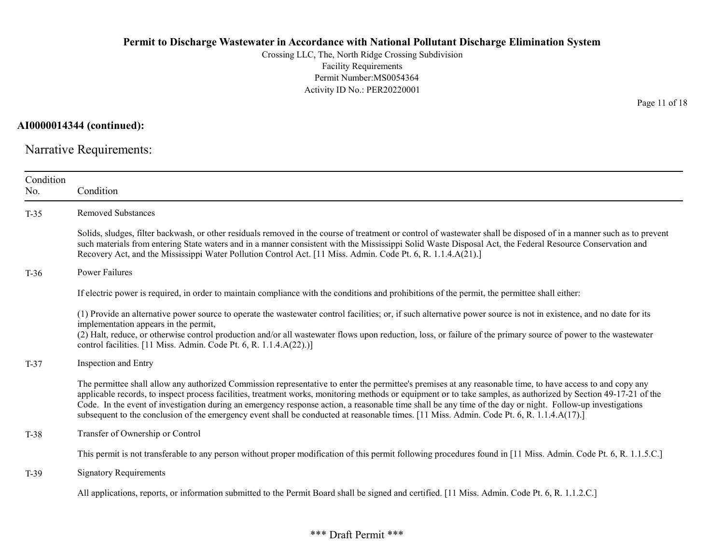Crossing LLC, The, North Ridge Crossing Subdivision Facility Requirements Permit Number:MS0054364 Activity ID No.: PER20220001

AI0000014344 (continued):

Narrative Requirements:

| Condition<br>No. | Condition                                                                                                                                                                                                                                                                                                                                                                                                                                                                                                                                                                                                                                  |
|------------------|--------------------------------------------------------------------------------------------------------------------------------------------------------------------------------------------------------------------------------------------------------------------------------------------------------------------------------------------------------------------------------------------------------------------------------------------------------------------------------------------------------------------------------------------------------------------------------------------------------------------------------------------|
| $T-35$           | <b>Removed Substances</b>                                                                                                                                                                                                                                                                                                                                                                                                                                                                                                                                                                                                                  |
|                  | Solids, sludges, filter backwash, or other residuals removed in the course of treatment or control of wastewater shall be disposed of in a manner such as to prevent<br>such materials from entering State waters and in a manner consistent with the Mississippi Solid Waste Disposal Act, the Federal Resource Conservation and<br>Recovery Act, and the Mississippi Water Pollution Control Act. [11 Miss. Admin. Code Pt. 6, R. 1.1.4.A(21).]                                                                                                                                                                                          |
| $T-36$           | Power Failures                                                                                                                                                                                                                                                                                                                                                                                                                                                                                                                                                                                                                             |
|                  | If electric power is required, in order to maintain compliance with the conditions and prohibitions of the permit, the permittee shall either:                                                                                                                                                                                                                                                                                                                                                                                                                                                                                             |
|                  | (1) Provide an alternative power source to operate the wastewater control facilities; or, if such alternative power source is not in existence, and no date for its<br>implementation appears in the permit,<br>(2) Halt, reduce, or otherwise control production and/or all wastewater flows upon reduction, loss, or failure of the primary source of power to the wastewater<br>control facilities. [11 Miss. Admin. Code Pt. 6, R. 1.1.4.A(22).)]                                                                                                                                                                                      |
| $T-37$           | <b>Inspection and Entry</b>                                                                                                                                                                                                                                                                                                                                                                                                                                                                                                                                                                                                                |
|                  | The permittee shall allow any authorized Commission representative to enter the permittee's premises at any reasonable time, to have access to and copy any<br>applicable records, to inspect process facilities, treatment works, monitoring methods or equipment or to take samples, as authorized by Section 49-17-21 of the<br>Code. In the event of investigation during an emergency response action, a reasonable time shall be any time of the day or night. Follow-up investigations<br>subsequent to the conclusion of the emergency event shall be conducted at reasonable times. [11 Miss. Admin. Code Pt. 6, R. 1.1.4.A(17).] |
| $T-38$           | Transfer of Ownership or Control                                                                                                                                                                                                                                                                                                                                                                                                                                                                                                                                                                                                           |
|                  | This permit is not transferable to any person without proper modification of this permit following procedures found in [11 Miss. Admin. Code Pt. 6, R. 1.1.5.C.]                                                                                                                                                                                                                                                                                                                                                                                                                                                                           |
| $T-39$           | <b>Signatory Requirements</b>                                                                                                                                                                                                                                                                                                                                                                                                                                                                                                                                                                                                              |
|                  | All applications, reports, or information submitted to the Permit Board shall be signed and certified. [11 Miss. Admin. Code Pt. 6, R. 1.1.2.C.]                                                                                                                                                                                                                                                                                                                                                                                                                                                                                           |

Page 11 of 18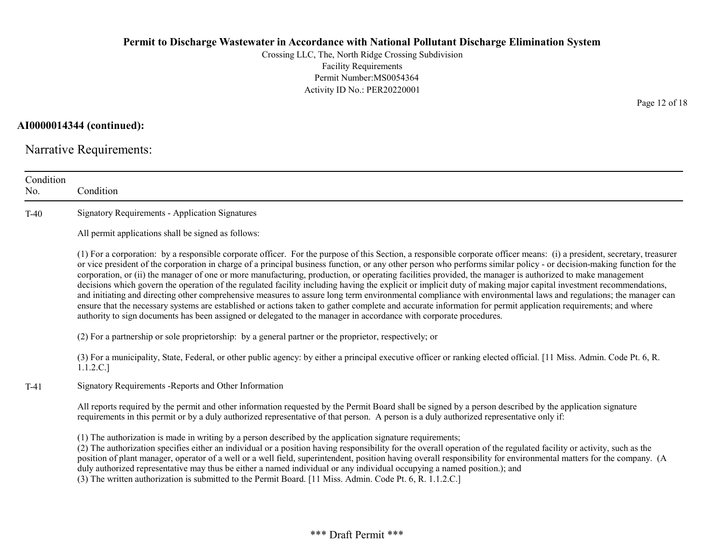Crossing LLC, The, North Ridge Crossing Subdivision Facility Requirements Permit Number:MS0054364 Activity ID No.: PER20220001

AI0000014344 (continued):

Narrative Requirements:

| Condition<br>No. | Condition                                                                                                                                                                                                                                                                                                                                                                                                                                                                                                                                                                                                                                                                                                                                                                                                                                                                                                                                                                                                                                                                                                                                      |
|------------------|------------------------------------------------------------------------------------------------------------------------------------------------------------------------------------------------------------------------------------------------------------------------------------------------------------------------------------------------------------------------------------------------------------------------------------------------------------------------------------------------------------------------------------------------------------------------------------------------------------------------------------------------------------------------------------------------------------------------------------------------------------------------------------------------------------------------------------------------------------------------------------------------------------------------------------------------------------------------------------------------------------------------------------------------------------------------------------------------------------------------------------------------|
| $T-40$           | <b>Signatory Requirements - Application Signatures</b>                                                                                                                                                                                                                                                                                                                                                                                                                                                                                                                                                                                                                                                                                                                                                                                                                                                                                                                                                                                                                                                                                         |
|                  | All permit applications shall be signed as follows:                                                                                                                                                                                                                                                                                                                                                                                                                                                                                                                                                                                                                                                                                                                                                                                                                                                                                                                                                                                                                                                                                            |
|                  | (1) For a corporation: by a responsible corporate officer. For the purpose of this Section, a responsible corporate officer means: (i) a president, secretary, treasurer<br>or vice president of the corporation in charge of a principal business function, or any other person who performs similar policy - or decision-making function for the<br>corporation, or (ii) the manager of one or more manufacturing, production, or operating facilities provided, the manager is authorized to make management<br>decisions which govern the operation of the regulated facility including having the explicit or implicit duty of making major capital investment recommendations,<br>and initiating and directing other comprehensive measures to assure long term environmental compliance with environmental laws and regulations; the manager can<br>ensure that the necessary systems are established or actions taken to gather complete and accurate information for permit application requirements; and where<br>authority to sign documents has been assigned or delegated to the manager in accordance with corporate procedures. |
|                  | (2) For a partnership or sole proprietorship: by a general partner or the proprietor, respectively; or                                                                                                                                                                                                                                                                                                                                                                                                                                                                                                                                                                                                                                                                                                                                                                                                                                                                                                                                                                                                                                         |
|                  | (3) For a municipality, State, Federal, or other public agency: by either a principal executive officer or ranking elected official. [11 Miss. Admin. Code Pt. 6, R.<br>1.1.2.C.]                                                                                                                                                                                                                                                                                                                                                                                                                                                                                                                                                                                                                                                                                                                                                                                                                                                                                                                                                              |
| $T-41$           | Signatory Requirements - Reports and Other Information                                                                                                                                                                                                                                                                                                                                                                                                                                                                                                                                                                                                                                                                                                                                                                                                                                                                                                                                                                                                                                                                                         |
|                  | All reports required by the permit and other information requested by the Permit Board shall be signed by a person described by the application signature<br>requirements in this permit or by a duly authorized representative of that person. A person is a duly authorized representative only if:                                                                                                                                                                                                                                                                                                                                                                                                                                                                                                                                                                                                                                                                                                                                                                                                                                          |
|                  | (1) The authorization is made in writing by a person described by the application signature requirements;<br>(2) The authorization specifies either an individual or a position having responsibility for the overall operation of the regulated facility or activity, such as the<br>position of plant manager, operator of a well or a well field, superintendent, position having overall responsibility for environmental matters for the company. (A<br>duly authorized representative may thus be either a named individual or any individual occupying a named position.); and<br>(3) The written authorization is submitted to the Permit Board. [11 Miss. Admin. Code Pt. 6, R. 1.1.2.C.]                                                                                                                                                                                                                                                                                                                                                                                                                                             |

Page 12 of 18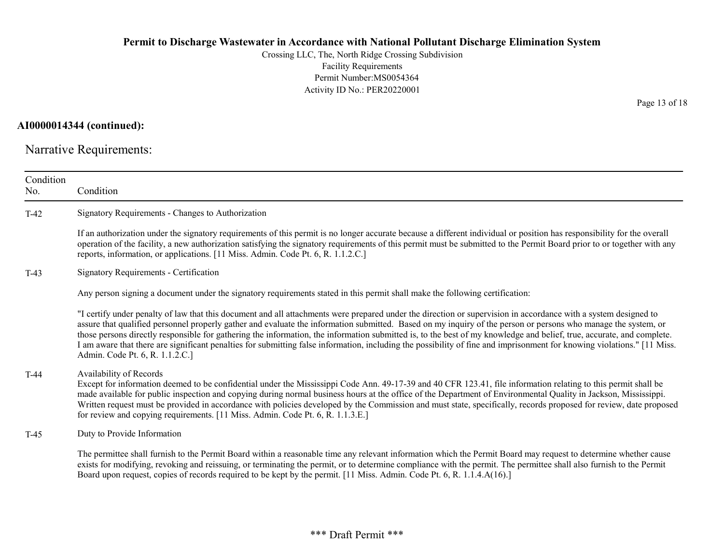Crossing LLC, The, North Ridge Crossing Subdivision Facility Requirements Permit Number:MS0054364 Activity ID No.: PER20220001

# AI0000014344 (continued):

Narrative Requirements:

| Condition<br>No. | Condition                                                                                                                                                                                                                                                                                                                                                                                                                                                                                                                                                                                                                                                                                                                |
|------------------|--------------------------------------------------------------------------------------------------------------------------------------------------------------------------------------------------------------------------------------------------------------------------------------------------------------------------------------------------------------------------------------------------------------------------------------------------------------------------------------------------------------------------------------------------------------------------------------------------------------------------------------------------------------------------------------------------------------------------|
| $T-42$           | Signatory Requirements - Changes to Authorization                                                                                                                                                                                                                                                                                                                                                                                                                                                                                                                                                                                                                                                                        |
|                  | If an authorization under the signatory requirements of this permit is no longer accurate because a different individual or position has responsibility for the overall<br>operation of the facility, a new authorization satisfying the signatory requirements of this permit must be submitted to the Permit Board prior to or together with any<br>reports, information, or applications. [11 Miss. Admin. Code Pt. 6, R. 1.1.2.C.]                                                                                                                                                                                                                                                                                   |
| $T-43$           | <b>Signatory Requirements - Certification</b>                                                                                                                                                                                                                                                                                                                                                                                                                                                                                                                                                                                                                                                                            |
|                  | Any person signing a document under the signatory requirements stated in this permit shall make the following certification:                                                                                                                                                                                                                                                                                                                                                                                                                                                                                                                                                                                             |
|                  | "I certify under penalty of law that this document and all attachments were prepared under the direction or supervision in accordance with a system designed to<br>assure that qualified personnel properly gather and evaluate the information submitted. Based on my inquiry of the person or persons who manage the system, or<br>those persons directly responsible for gathering the information, the information submitted is, to the best of my knowledge and belief, true, accurate, and complete.<br>I am aware that there are significant penalties for submitting false information, including the possibility of fine and imprisonment for knowing violations." [11 Miss.<br>Admin. Code Pt. 6, R. 1.1.2.C.] |
| $T-44$           | Availability of Records<br>Except for information deemed to be confidential under the Mississippi Code Ann. 49-17-39 and 40 CFR 123.41, file information relating to this permit shall be<br>made available for public inspection and copying during normal business hours at the office of the Department of Environmental Quality in Jackson, Mississippi.<br>Written request must be provided in accordance with policies developed by the Commission and must state, specifically, records proposed for review, date proposed<br>for review and copying requirements. [11 Miss. Admin. Code Pt. 6, R. 1.1.3.E.]                                                                                                      |
| $T-45$           | Duty to Provide Information                                                                                                                                                                                                                                                                                                                                                                                                                                                                                                                                                                                                                                                                                              |
|                  | The permittee shall furnish to the Permit Board within a reasonable time any relevant information which the Permit Board may request to determine whether cause<br>exists for modifying, revoking and reissuing, or terminating the permit, or to determine compliance with the permit. The permittee shall also furnish to the Permit<br>Board upon request, copies of records required to be kept by the permit. [11 Miss. Admin. Code Pt. 6, R. 1.1.4.A(16).]                                                                                                                                                                                                                                                         |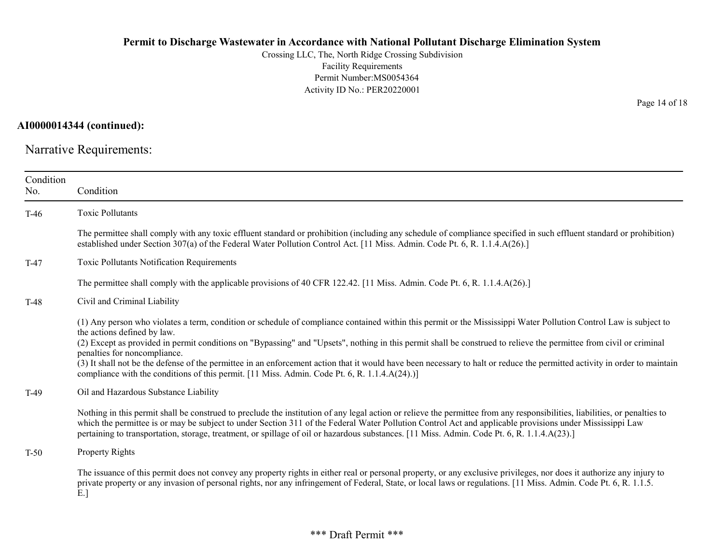Crossing LLC, The, North Ridge Crossing Subdivision Facility Requirements Permit Number:MS0054364 Activity ID No.: PER20220001

AI0000014344 (continued):

Narrative Requirements:

| Condition<br>No. | Condition                                                                                                                                                                                                                                                                                                                                                                                                                                                                                                                                                                                                                                                                            |
|------------------|--------------------------------------------------------------------------------------------------------------------------------------------------------------------------------------------------------------------------------------------------------------------------------------------------------------------------------------------------------------------------------------------------------------------------------------------------------------------------------------------------------------------------------------------------------------------------------------------------------------------------------------------------------------------------------------|
| $T-46$           | <b>Toxic Pollutants</b>                                                                                                                                                                                                                                                                                                                                                                                                                                                                                                                                                                                                                                                              |
|                  | The permittee shall comply with any toxic effluent standard or prohibition (including any schedule of compliance specified in such effluent standard or prohibition)<br>established under Section 307(a) of the Federal Water Pollution Control Act. [11 Miss. Admin. Code Pt. 6, R. 1.1.4.A(26).]                                                                                                                                                                                                                                                                                                                                                                                   |
| $T-47$           | Toxic Pollutants Notification Requirements                                                                                                                                                                                                                                                                                                                                                                                                                                                                                                                                                                                                                                           |
|                  | The permittee shall comply with the applicable provisions of 40 CFR 122.42. [11 Miss. Admin. Code Pt. 6, R. 1.1.4.A(26).]                                                                                                                                                                                                                                                                                                                                                                                                                                                                                                                                                            |
| $T-48$           | Civil and Criminal Liability                                                                                                                                                                                                                                                                                                                                                                                                                                                                                                                                                                                                                                                         |
|                  | (1) Any person who violates a term, condition or schedule of compliance contained within this permit or the Mississippi Water Pollution Control Law is subject to<br>the actions defined by law.<br>(2) Except as provided in permit conditions on "Bypassing" and "Upsets", nothing in this permit shall be construed to relieve the permittee from civil or criminal<br>penalties for noncompliance.<br>(3) It shall not be the defense of the permittee in an enforcement action that it would have been necessary to halt or reduce the permitted activity in order to maintain<br>compliance with the conditions of this permit. [11 Miss. Admin. Code Pt. 6, R. 1.1.4.A(24).)] |
| $T-49$           | Oil and Hazardous Substance Liability                                                                                                                                                                                                                                                                                                                                                                                                                                                                                                                                                                                                                                                |
|                  | Nothing in this permit shall be construed to preclude the institution of any legal action or relieve the permittee from any responsibilities, liabilities, or penalties to<br>which the permittee is or may be subject to under Section 311 of the Federal Water Pollution Control Act and applicable provisions under Mississippi Law<br>pertaining to transportation, storage, treatment, or spillage of oil or hazardous substances. [11 Miss. Admin. Code Pt. 6, R. 1.1.4.A(23).]                                                                                                                                                                                                |
| $T-50$           | Property Rights                                                                                                                                                                                                                                                                                                                                                                                                                                                                                                                                                                                                                                                                      |
|                  | The issuance of this permit does not convey any property rights in either real or personal property, or any exclusive privileges, nor does it authorize any injury to<br>private property or any invasion of personal rights, nor any infringement of Federal, State, or local laws or regulations. [11 Miss. Admin. Code Pt. 6, R. 1.1.5.<br>E.                                                                                                                                                                                                                                                                                                                                     |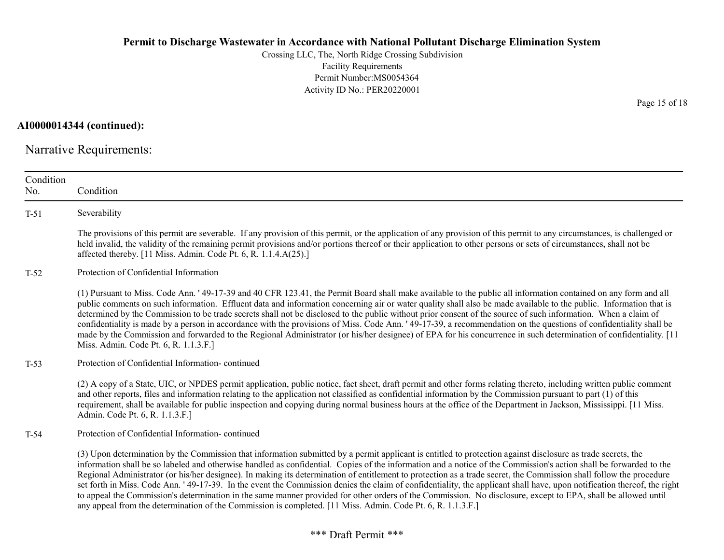Crossing LLC, The, North Ridge Crossing Subdivision Facility Requirements Permit Number:MS0054364 Activity ID No.: PER20220001

AI0000014344 (continued):

Narrative Requirements:

| Condition<br>No. | Condition                                                                                                                                                                                                                                                                                                                                                                                                                                                                                                                                                                                                                                                                                                                                                                                                                                                                                                                                                             |
|------------------|-----------------------------------------------------------------------------------------------------------------------------------------------------------------------------------------------------------------------------------------------------------------------------------------------------------------------------------------------------------------------------------------------------------------------------------------------------------------------------------------------------------------------------------------------------------------------------------------------------------------------------------------------------------------------------------------------------------------------------------------------------------------------------------------------------------------------------------------------------------------------------------------------------------------------------------------------------------------------|
| $T-51$           | Severability                                                                                                                                                                                                                                                                                                                                                                                                                                                                                                                                                                                                                                                                                                                                                                                                                                                                                                                                                          |
|                  | The provisions of this permit are severable. If any provision of this permit, or the application of any provision of this permit to any circumstances, is challenged or<br>held invalid, the validity of the remaining permit provisions and/or portions thereof or their application to other persons or sets of circumstances, shall not be<br>affected thereby. [11 Miss. Admin. Code Pt. 6, R. 1.1.4.A(25).]                                                                                                                                                                                                                                                                                                                                                                                                                                                                                                                                                      |
| $T-52$           | Protection of Confidential Information                                                                                                                                                                                                                                                                                                                                                                                                                                                                                                                                                                                                                                                                                                                                                                                                                                                                                                                                |
|                  | (1) Pursuant to Miss. Code Ann. '49-17-39 and 40 CFR 123.41, the Permit Board shall make available to the public all information contained on any form and all<br>public comments on such information. Effluent data and information concerning air or water quality shall also be made available to the public. Information that is<br>determined by the Commission to be trade secrets shall not be disclosed to the public without prior consent of the source of such information. When a claim of<br>confidentiality is made by a person in accordance with the provisions of Miss. Code Ann. '49-17-39, a recommendation on the questions of confidentiality shall be<br>made by the Commission and forwarded to the Regional Administrator (or his/her designee) of EPA for his concurrence in such determination of confidentiality. [11]<br>Miss. Admin. Code Pt. 6, R. 1.1.3.F.]                                                                            |
| $T-53$           | Protection of Confidential Information-continued                                                                                                                                                                                                                                                                                                                                                                                                                                                                                                                                                                                                                                                                                                                                                                                                                                                                                                                      |
|                  | (2) A copy of a State, UIC, or NPDES permit application, public notice, fact sheet, draft permit and other forms relating thereto, including written public comment<br>and other reports, files and information relating to the application not classified as confidential information by the Commission pursuant to part (1) of this<br>requirement, shall be available for public inspection and copying during normal business hours at the office of the Department in Jackson, Mississippi. [11 Miss.]<br>Admin. Code Pt. 6, R. 1.1.3.F.]                                                                                                                                                                                                                                                                                                                                                                                                                        |
| $T-54$           | Protection of Confidential Information-continued                                                                                                                                                                                                                                                                                                                                                                                                                                                                                                                                                                                                                                                                                                                                                                                                                                                                                                                      |
|                  | (3) Upon determination by the Commission that information submitted by a permit applicant is entitled to protection against disclosure as trade secrets, the<br>information shall be so labeled and otherwise handled as confidential. Copies of the information and a notice of the Commission's action shall be forwarded to the<br>Regional Administrator (or his/her designee). In making its determination of entitlement to protection as a trade secret, the Commission shall follow the procedure<br>set forth in Miss. Code Ann. ' 49-17-39. In the event the Commission denies the claim of confidentiality, the applicant shall have, upon notification thereof, the right<br>to appeal the Commission's determination in the same manner provided for other orders of the Commission. No disclosure, except to EPA, shall be allowed until<br>any appeal from the determination of the Commission is completed. [11 Miss. Admin. Code Pt. 6, R. 1.1.3.F.] |

Page 15 of 18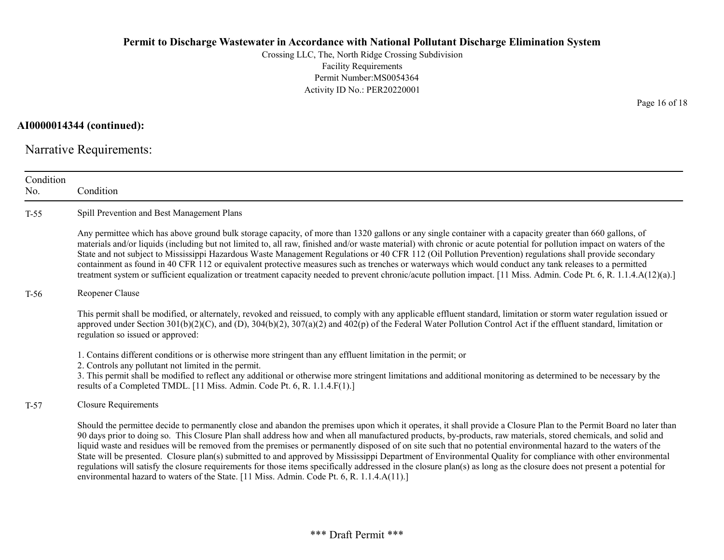Crossing LLC, The, North Ridge Crossing Subdivision Facility Requirements Permit Number:MS0054364 Activity ID No.: PER20220001

### AI0000014344 (continued):

Narrative Requirements:

| Condition<br>No. | Condition                                                                                                                                                                                                                                                                                                                                                                                                                                                                                                                                                                                                                                                                                                                                                                                                                                                                                                                                          |
|------------------|----------------------------------------------------------------------------------------------------------------------------------------------------------------------------------------------------------------------------------------------------------------------------------------------------------------------------------------------------------------------------------------------------------------------------------------------------------------------------------------------------------------------------------------------------------------------------------------------------------------------------------------------------------------------------------------------------------------------------------------------------------------------------------------------------------------------------------------------------------------------------------------------------------------------------------------------------|
| $T-55$           | Spill Prevention and Best Management Plans                                                                                                                                                                                                                                                                                                                                                                                                                                                                                                                                                                                                                                                                                                                                                                                                                                                                                                         |
|                  | Any permittee which has above ground bulk storage capacity, of more than 1320 gallons or any single container with a capacity greater than 660 gallons, of<br>materials and/or liquids (including but not limited to, all raw, finished and/or waste material) with chronic or acute potential for pollution impact on waters of the<br>State and not subject to Mississippi Hazardous Waste Management Regulations or 40 CFR 112 (Oil Pollution Prevention) regulations shall provide secondary<br>containment as found in 40 CFR 112 or equivalent protective measures such as trenches or waterways which would conduct any tank releases to a permitted<br>treatment system or sufficient equalization or treatment capacity needed to prevent chronic/acute pollution impact. [11 Miss. Admin. Code Pt. 6, R. 1.1.4.A(12)(a).]                                                                                                                |
| $T-56$           | Reopener Clause                                                                                                                                                                                                                                                                                                                                                                                                                                                                                                                                                                                                                                                                                                                                                                                                                                                                                                                                    |
|                  | This permit shall be modified, or alternately, revoked and reissued, to comply with any applicable effluent standard, limitation or storm water regulation issued or<br>approved under Section $301(b)(2)(C)$ , and (D), $304(b)(2)$ , $307(a)(2)$ and $402(p)$ of the Federal Water Pollution Control Act if the effluent standard, limitation or<br>regulation so issued or approved:                                                                                                                                                                                                                                                                                                                                                                                                                                                                                                                                                            |
|                  | 1. Contains different conditions or is otherwise more stringent than any effluent limitation in the permit; or<br>2. Controls any pollutant not limited in the permit.<br>3. This permit shall be modified to reflect any additional or otherwise more stringent limitations and additional monitoring as determined to be necessary by the<br>results of a Completed TMDL. [11 Miss. Admin. Code Pt. 6, R. 1.1.4.F(1).]                                                                                                                                                                                                                                                                                                                                                                                                                                                                                                                           |
| $T-57$           | <b>Closure Requirements</b>                                                                                                                                                                                                                                                                                                                                                                                                                                                                                                                                                                                                                                                                                                                                                                                                                                                                                                                        |
|                  | Should the permittee decide to permanently close and abandon the premises upon which it operates, it shall provide a Closure Plan to the Permit Board no later than<br>90 days prior to doing so. This Closure Plan shall address how and when all manufactured products, by-products, raw materials, stored chemicals, and solid and<br>liquid waste and residues will be removed from the premises or permanently disposed of on site such that no potential environmental hazard to the waters of the<br>State will be presented. Closure plan(s) submitted to and approved by Mississippi Department of Environmental Quality for compliance with other environmental<br>regulations will satisfy the closure requirements for those items specifically addressed in the closure plan(s) as long as the closure does not present a potential for<br>environmental hazard to waters of the State. [11 Miss. Admin. Code Pt. 6, R. 1.1.4.A(11).] |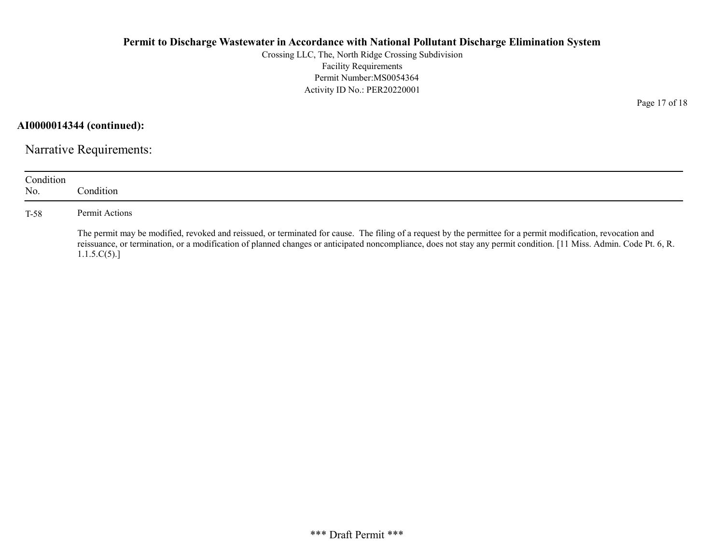Crossing LLC, The, North Ridge Crossing Subdivision Facility Requirements Permit Number:MS0054364 Activity ID No.: PER20220001

AI0000014344 (continued):

Narrative Requirements:

| Condition<br>No. | Condition                                                                                                                                                                                                                                                                                                                                          |
|------------------|----------------------------------------------------------------------------------------------------------------------------------------------------------------------------------------------------------------------------------------------------------------------------------------------------------------------------------------------------|
| T-58             | Permit Actions                                                                                                                                                                                                                                                                                                                                     |
|                  | The permit may be modified, revoked and reissued, or terminated for cause. The filing of a request by the permittee for a permit modification, revocation and<br>reissuance, or termination, or a modification of planned changes or anticipated noncompliance, does not stay any permit condition. [11 Miss. Admin. Code Pt. 6, R.<br>1.1.5.C(5). |

Page 17 of 18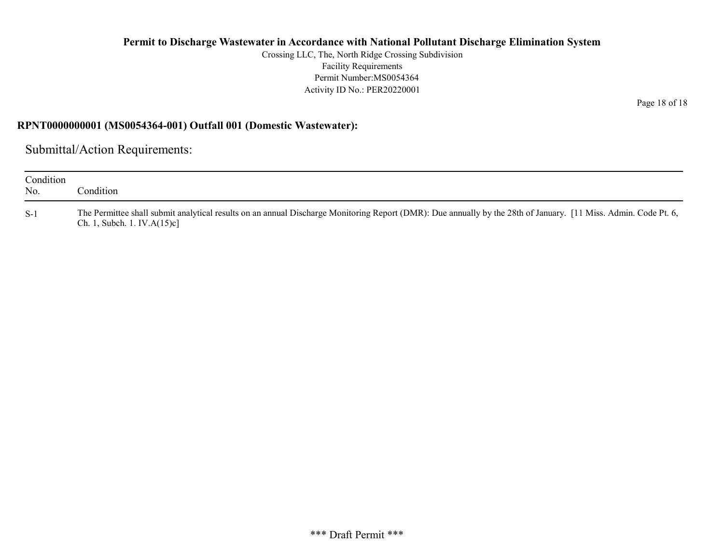Crossing LLC, The, North Ridge Crossing Subdivision Facility Requirements Permit Number:MS0054364 Activity ID No.: PER20220001

RPNT0000000001 (MS0054364-001) Outfall 001 (Domestic Wastewater):

Submittal/Action Requirements:

| Condition<br>No. | `ondition                                                                                                                                                                                          |
|------------------|----------------------------------------------------------------------------------------------------------------------------------------------------------------------------------------------------|
| $S-1$            | The Permittee shall submit analytical results on an annual Discharge Monitoring Report (DMR): Due annually by the 28th of January. [11 Miss. Admin. Code Pt. 6,<br>Ch. 1, Subch. 1. IV. $A(15)c$ ] |

Page 18 of 18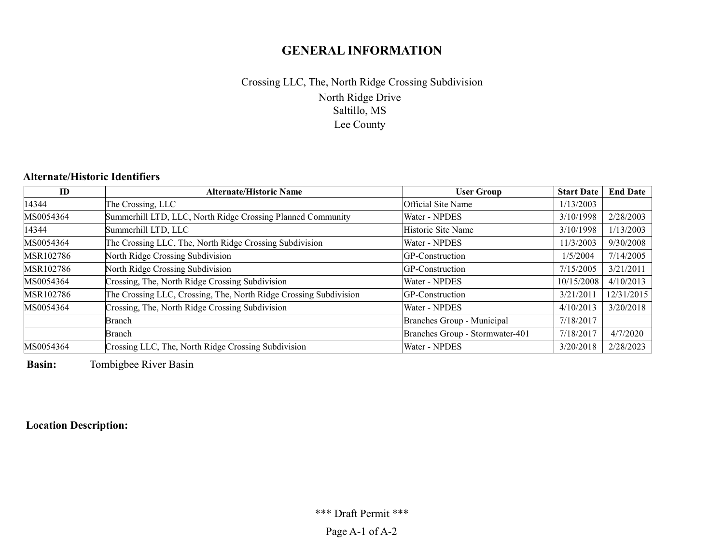# GENERAL INFORMATION

# North Ridge Drive Saltillo, MS Lee County Crossing LLC, The, North Ridge Crossing Subdivision

# Alternate/Historic Identifiers

| ID        | <b>Alternate/Historic Name</b>                                    | <b>User Group</b>               | <b>Start Date</b> | <b>End Date</b> |
|-----------|-------------------------------------------------------------------|---------------------------------|-------------------|-----------------|
| 14344     | The Crossing, LLC                                                 | Official Site Name              | 1/13/2003         |                 |
| MS0054364 | Summerhill LTD, LLC, North Ridge Crossing Planned Community       | Water - NPDES                   | 3/10/1998         | 2/28/2003       |
| 14344     | Summerhill LTD, LLC                                               | Historic Site Name              | 3/10/1998         | 1/13/2003       |
| MS0054364 | The Crossing LLC, The, North Ridge Crossing Subdivision           | Water - NPDES                   | 11/3/2003         | 9/30/2008       |
| MSR102786 | North Ridge Crossing Subdivision                                  | GP-Construction                 | 1/5/2004          | 7/14/2005       |
| MSR102786 | North Ridge Crossing Subdivision                                  | GP-Construction                 | 7/15/2005         | 3/21/2011       |
| MS0054364 | Crossing, The, North Ridge Crossing Subdivision                   | Water - NPDES                   | 10/15/2008        | 4/10/2013       |
| MSR102786 | The Crossing LLC, Crossing, The, North Ridge Crossing Subdivision | GP-Construction                 | 3/21/2011         | 12/31/2015      |
| MS0054364 | Crossing, The, North Ridge Crossing Subdivision                   | Water - NPDES                   | 4/10/2013         | 3/20/2018       |
|           | Branch                                                            | Branches Group - Municipal      | 7/18/2017         |                 |
|           | Branch                                                            | Branches Group - Stormwater-401 | 7/18/2017         | 4/7/2020        |
| MS0054364 | Crossing LLC, The, North Ridge Crossing Subdivision               | Water - NPDES                   | 3/20/2018         | 2/28/2023       |

Basin: Tombigbee River Basin

Location Description: